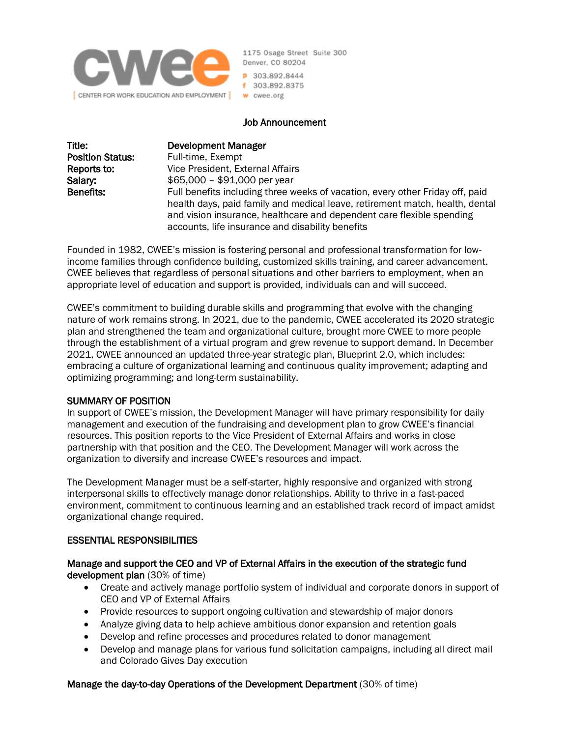

1175 Osage Street Suite 300 Denver, CO 80204 P 303.892.8444 f 303.892.8375 w cwee.org

### Job Announcement

| Title:                  | Development Manager                                                                                                                                                                                                                                                                        |
|-------------------------|--------------------------------------------------------------------------------------------------------------------------------------------------------------------------------------------------------------------------------------------------------------------------------------------|
| <b>Position Status:</b> | Full-time, Exempt                                                                                                                                                                                                                                                                          |
| Reports to:             | Vice President, External Affairs                                                                                                                                                                                                                                                           |
| Salary:                 | $$65,000 - $91,000$ per year                                                                                                                                                                                                                                                               |
| <b>Benefits:</b>        | Full benefits including three weeks of vacation, every other Friday off, paid<br>health days, paid family and medical leave, retirement match, health, dental<br>and vision insurance, healthcare and dependent care flexible spending<br>accounts, life insurance and disability benefits |

Founded in 1982, CWEE's mission is fostering personal and professional transformation for lowincome families through confidence building, customized skills training, and career advancement. CWEE believes that regardless of personal situations and other barriers to employment, when an appropriate level of education and support is provided, individuals can and will succeed.

CWEE's commitment to building durable skills and programming that evolve with the changing nature of work remains strong. In 2021, due to the pandemic, CWEE accelerated its 2020 strategic plan and strengthened the team and organizational culture, brought more CWEE to more people through the establishment of a virtual program and grew revenue to support demand. In December 2021, CWEE announced an updated three-year strategic plan, Blueprint 2.0, which includes: embracing a culture of organizational learning and continuous quality improvement; adapting and optimizing programming; and long-term sustainability.

### SUMMARY OF POSITION

In support of CWEE's mission, the Development Manager will have primary responsibility for daily management and execution of the fundraising and development plan to grow CWEE's financial resources. This position reports to the Vice President of External Affairs and works in close partnership with that position and the CEO. The Development Manager will work across the organization to diversify and increase CWEE's resources and impact.

The Development Manager must be a self-starter, highly responsive and organized with strong interpersonal skills to effectively manage donor relationships. Ability to thrive in a fast-paced environment, commitment to continuous learning and an established track record of impact amidst organizational change required.

### ESSENTIAL RESPONSIBILITIES

Manage and support the CEO and VP of External Affairs in the execution of the strategic fund development plan (30% of time)

- Create and actively manage portfolio system of individual and corporate donors in support of CEO and VP of External Affairs
- Provide resources to support ongoing cultivation and stewardship of major donors
- Analyze giving data to help achieve ambitious donor expansion and retention goals
- Develop and refine processes and procedures related to donor management
- Develop and manage plans for various fund solicitation campaigns, including all direct mail and Colorado Gives Day execution

### Manage the day-to-day Operations of the Development Department (30% of time)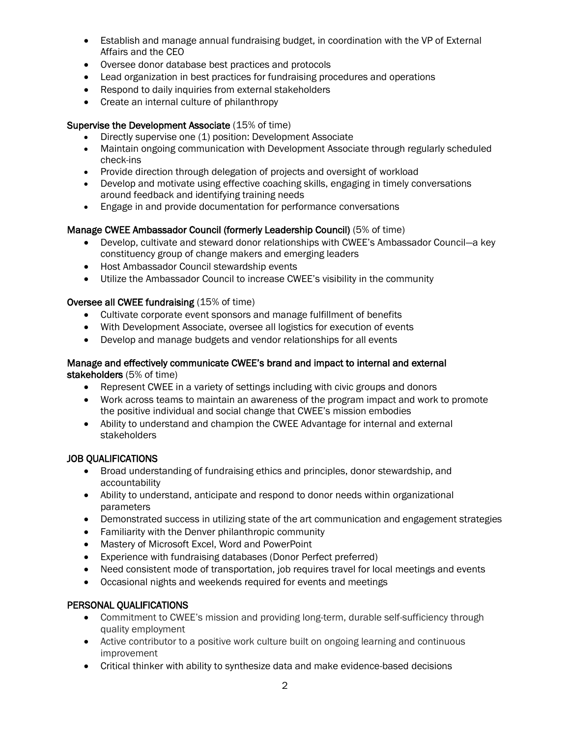- Establish and manage annual fundraising budget, in coordination with the VP of External Affairs and the CEO
- Oversee donor database best practices and protocols
- Lead organization in best practices for fundraising procedures and operations
- Respond to daily inquiries from external stakeholders
- Create an internal culture of philanthropy

## Supervise the Development Associate (15% of time)

- Directly supervise one (1) position: Development Associate
- Maintain ongoing communication with Development Associate through regularly scheduled check-ins
- Provide direction through delegation of projects and oversight of workload
- Develop and motivate using effective coaching skills, engaging in timely conversations around feedback and identifying training needs
- Engage in and provide documentation for performance conversations

# Manage CWEE Ambassador Council (formerly Leadership Council) (5% of time)

- Develop, cultivate and steward donor relationships with CWEE's Ambassador Council—a key constituency group of change makers and emerging leaders
- Host Ambassador Council stewardship events
- Utilize the Ambassador Council to increase CWEE's visibility in the community

# Oversee all CWEE fundraising (15% of time)

- Cultivate corporate event sponsors and manage fulfillment of benefits
- With Development Associate, oversee all logistics for execution of events
- Develop and manage budgets and vendor relationships for all events

### Manage and effectively communicate CWEE's brand and impact to internal and external stakeholders (5% of time)

- Represent CWEE in a variety of settings including with civic groups and donors
- Work across teams to maintain an awareness of the program impact and work to promote the positive individual and social change that CWEE's mission embodies
- Ability to understand and champion the CWEE Advantage for internal and external stakeholders

# JOB QUALIFICATIONS

- Broad understanding of fundraising ethics and principles, donor stewardship, and accountability
- Ability to understand, anticipate and respond to donor needs within organizational parameters
- Demonstrated success in utilizing state of the art communication and engagement strategies
- Familiarity with the Denver philanthropic community
- Mastery of Microsoft Excel, Word and PowerPoint
- Experience with fundraising databases (Donor Perfect preferred)
- Need consistent mode of transportation, job requires travel for local meetings and events
- Occasional nights and weekends required for events and meetings

# PERSONAL QUALIFICATIONS

- Commitment to CWEE's mission and providing long-term, durable self-sufficiency through quality employment
- Active contributor to a positive work culture built on ongoing learning and continuous improvement
- Critical thinker with ability to synthesize data and make evidence-based decisions